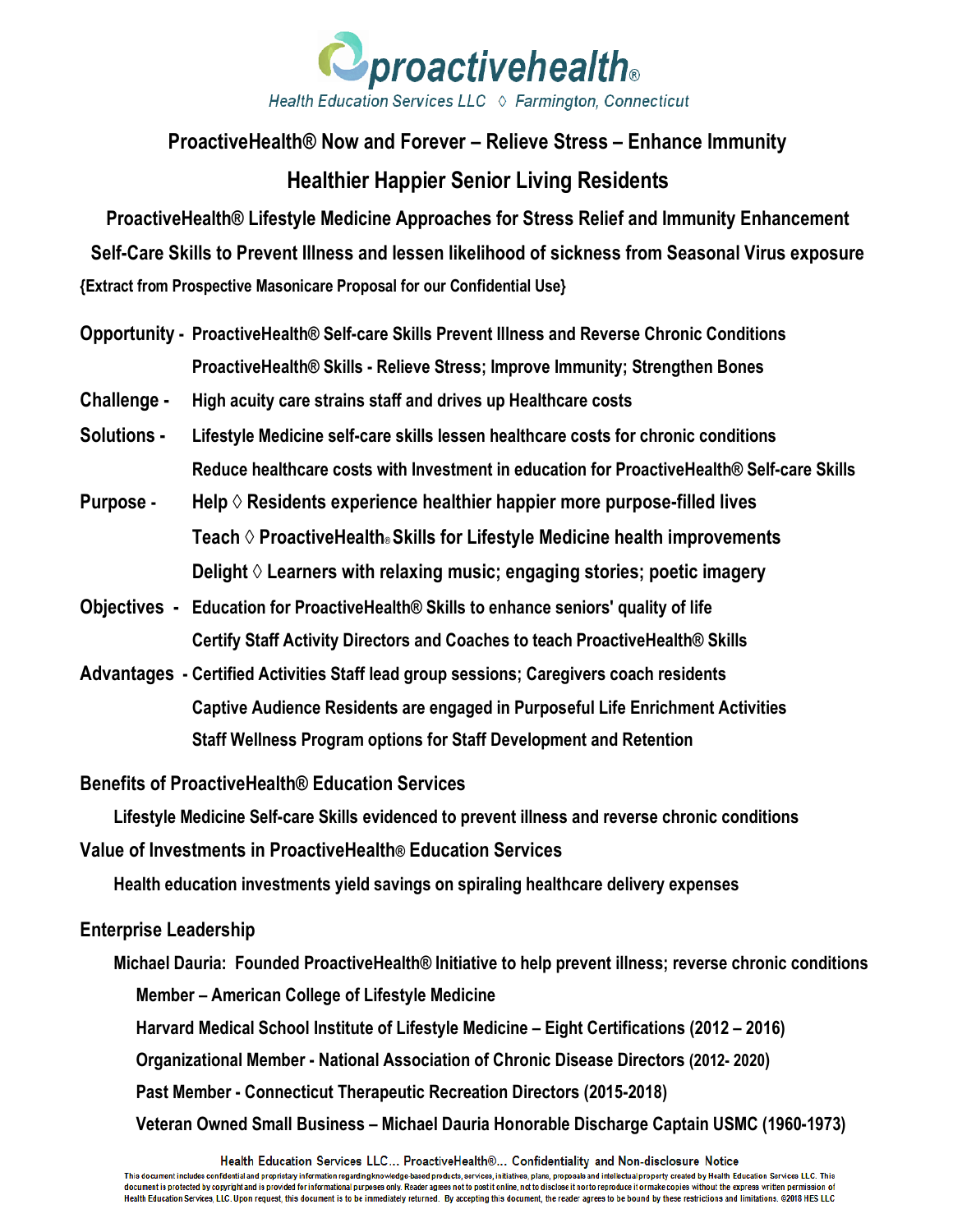

## **ProactiveHealth® Now and Forever – Relieve Stress – Enhance Immunity Healthier Happier Senior Living Residents**

**ProactiveHealth® Lifestyle Medicine Approaches for Stress Relief and Immunity Enhancement Self-Care Skills to Prevent Illness and lessen likelihood of sickness from Seasonal Virus exposure {Extract from Prospective Masonicare Proposal for our Confidential Use}**

- **Opportunity - ProactiveHealth® Self-care Skills Prevent Illness and Reverse Chronic Conditions ProactiveHealth® Skills - Relieve Stress; Improve Immunity; Strengthen Bones**
- **Challenge - High acuity care strains staff and drives up Healthcare costs**
- **Solutions - Lifestyle Medicine self-care skills lessen healthcare costs for chronic conditions Reduce healthcare costs with Investment in education for ProactiveHealth® Self-care Skills**
- **Purpose Help ◊ Residents experience healthier happier more purpose-filled lives Teach ◊ ProactiveHealth**® **Skills for Lifestyle Medicine health improvements Delight ◊ Learners with relaxing music; engaging stories; poetic imagery**
- **Objectives Education for ProactiveHealth® Skills to enhance seniors' quality of life Certify Staff Activity Directors and Coaches to teach ProactiveHealth® Skills**
- **Advantages - Certified Activities Staff lead group sessions; Caregivers coach residents Captive Audience Residents are engaged in Purposeful Life Enrichment Activities Staff Wellness Program options for Staff Development and Retention**

**Benefits of ProactiveHealth® Education Services** 

**Lifestyle Medicine Self-care Skills evidenced to prevent illness and reverse chronic conditions**

**Value of Investments in ProactiveHealth® Education Services**

**Health education investments yield savings on spiraling healthcare delivery expenses**

#### **Enterprise Leadership**

**Michael Dauria: Founded ProactiveHealth® Initiative to help prevent illness; reverse chronic conditions Member – American College of Lifestyle Medicine** 

**Harvard Medical School Institute of Lifestyle Medicine – Eight Certifications (2012 – 2016)**

**Organizational Member - National Association of Chronic Disease Directors (2012- 2020)**

**Past Member - Connecticut Therapeutic Recreation Directors (2015-2018)**

 **Veteran Owned Small Business – Michael Dauria Honorable Discharge Captain USMC (1960-1973)**

Health Education Services LLC... ProactiveHealth®... Confidentiality and Non-disclosure Notice

This document includes confidential and proprietary information regarding knowledge-based products, services, initiatives, plans, proposals and intellectual property created by Health Education Services LLC. This document is protected by copyright and is provided for informational purposes only. Reader agrees not to post it online, not to disclose it nor to reproduce it or make copies without the express written permission of Health Education Services, LLC. Upon request, this document is to be immediately returned. By accepting this document, the reader agrees to be bound by these restrictions and limitations. @2018 HES LLC